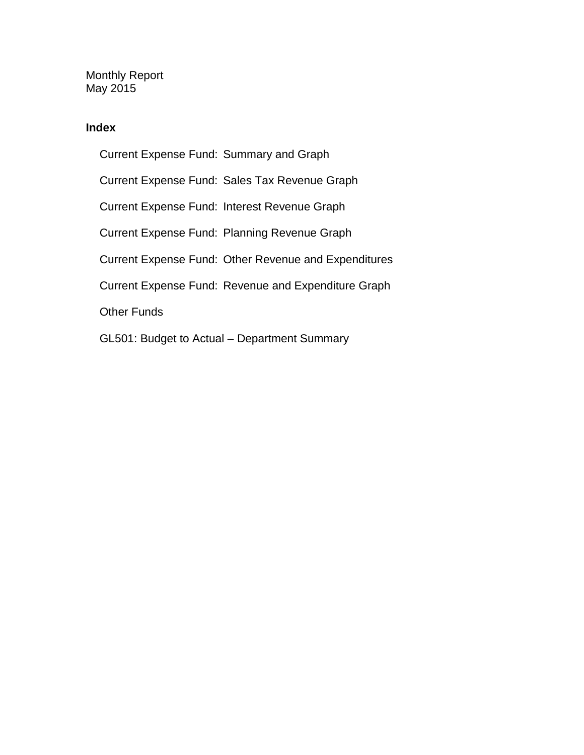Monthly Report May 2015

### **Index**

Current Expense Fund: Summary and Graph Current Expense Fund: Sales Tax Revenue Graph Current Expense Fund: Interest Revenue Graph Current Expense Fund: Planning Revenue Graph Current Expense Fund: Other Revenue and Expenditures Current Expense Fund: Revenue and Expenditure Graph Other Funds GL501: Budget to Actual – Department Summary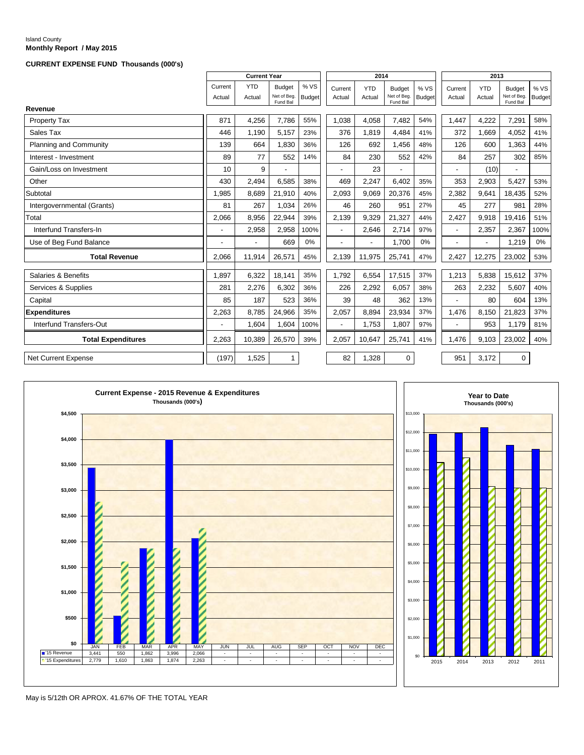#### Island County **Monthly Report / May 2015**

#### **CURRENT EXPENSE FUND Thousands (000's)**

|                            |                   | <b>Current Year</b>      |                                          |                       |                   | 2014                     |                                          |                       |                   | 2013                 |                                          |                      |
|----------------------------|-------------------|--------------------------|------------------------------------------|-----------------------|-------------------|--------------------------|------------------------------------------|-----------------------|-------------------|----------------------|------------------------------------------|----------------------|
|                            | Current<br>Actual | <b>YTD</b><br>Actual     | <b>Budget</b><br>Net of Beg.<br>Fund Bal | % VS<br><b>Budget</b> | Current<br>Actual | <b>YTD</b><br>Actual     | <b>Budget</b><br>Net of Beg.<br>Fund Bal | % VS<br><b>Budget</b> | Current<br>Actual | <b>YTD</b><br>Actual | <b>Budget</b><br>Net of Beg.<br>Fund Bal | %VS<br><b>Budget</b> |
| Revenue                    |                   |                          |                                          |                       |                   |                          |                                          |                       |                   |                      |                                          |                      |
| <b>Property Tax</b>        | 871               | 4,256                    | 7,786                                    | 55%                   | 1,038             | 4,058                    | 7,482                                    | 54%                   | 1,447             | 4,222                | 7,291                                    | 58%                  |
| Sales Tax                  | 446               | 1,190                    | 5,157                                    | 23%                   | 376               | 1,819                    | 4.484                                    | 41%                   | 372               | 1.669                | 4,052                                    | 41%                  |
| Planning and Community     | 139               | 664                      | 1,830                                    | 36%                   | 126               | 692                      | 1.456                                    | 48%                   | 126               | 600                  | 1,363                                    | 44%                  |
| Interest - Investment      | 89                | 77                       | 552                                      | 14%                   | 84                | 230                      | 552                                      | 42%                   | 84                | 257                  | 302                                      | 85%                  |
| Gain/Loss on Investment    | 10                | 9                        |                                          |                       |                   | 23                       |                                          |                       |                   | (10)                 |                                          |                      |
| Other                      | 430               | 2,494                    | 6,585                                    | 38%                   | 469               | 2,247                    | 6.402                                    | 35%                   | 353               | 2,903                | 5,427                                    | 53%                  |
| Subtotal                   | 1.985             | 8,689                    | 21,910                                   | 40%                   | 2,093             | 9,069                    | 20,376                                   | 45%                   | 2,382             | 9.641                | 18,435                                   | 52%                  |
| Intergovernmental (Grants) | 81                | 267                      | 1,034                                    | 26%                   | 46                | 260                      | 951                                      | 27%                   | 45                | 277                  | 981                                      | 28%                  |
| Total                      | 2,066             | 8,956                    | 22,944                                   | 39%                   | 2,139             | 9,329                    | 21,327                                   | 44%                   | 2,427             | 9,918                | 19,416                                   | 51%                  |
| Interfund Transfers-In     |                   | 2,958                    | 2,958                                    | 100%                  | $\sim$            | 2,646                    | 2.714                                    | 97%                   | $\overline{a}$    | 2,357                | 2,367                                    | 100%                 |
| Use of Beg Fund Balance    |                   | $\overline{\phantom{0}}$ | 669                                      | 0%                    |                   | $\overline{\phantom{a}}$ | 1.700                                    | 0%                    |                   |                      | 1,219                                    | 0%                   |
| <b>Total Revenue</b>       | 2.066             | 11,914                   | 26,571                                   | 45%                   | 2,139             | 11,975                   | 25,741                                   | 47%                   | 2,427             | 12,275               | 23,002                                   | 53%                  |
| Salaries & Benefits        | 1.897             | 6.322                    | 18.141                                   | 35%                   | 1.792             | 6.554                    | 17.515                                   | 37%                   | 1.213             | 5.838                | 15.612                                   | 37%                  |
| Services & Supplies        | 281               | 2,276                    | 6,302                                    | 36%                   | 226               | 2,292                    | 6,057                                    | 38%                   | 263               | 2,232                | 5,607                                    | 40%                  |
| Capital                    | 85                | 187                      | 523                                      | 36%                   | 39                | 48                       | 362                                      | 13%                   |                   | 80                   | 604                                      | 13%                  |
| <b>Expenditures</b>        | 2,263             | 8,785                    | 24,966                                   | 35%                   | 2,057             | 8,894                    | 23,934                                   | 37%                   | 1,476             | 8,150                | 21,823                                   | 37%                  |
| Interfund Transfers-Out    |                   | 1,604                    | 1.604                                    | 100%                  | $\overline{a}$    | 1,753                    | 1,807                                    | 97%                   | $\overline{a}$    | 953                  | 1,179                                    | 81%                  |
| <b>Total Expenditures</b>  | 2,263             | 10,389                   | 26,570                                   | 39%                   | 2,057             | 10,647                   | 25,741                                   | 41%                   | 1,476             | 9,103                | 23,002                                   | 40%                  |
| <b>Net Current Expense</b> | (197)             | 1,525                    | $\mathbf{1}$                             |                       | 82                | 1,328                    | 0                                        |                       | 951               | 3,172                | $\Omega$                                 |                      |



2015 2014 2013 2012 2011 **Year to Date Thousands (000's)**

May is 5/12th OR APROX. 41.67% OF THE TOTAL YEAR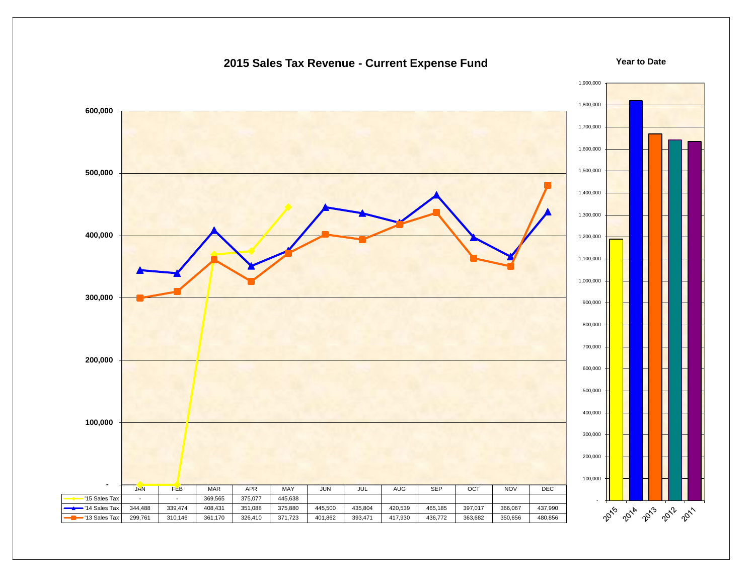

### **2015 Sales Tax Revenue - Current Expense Fund**

**Year to Date**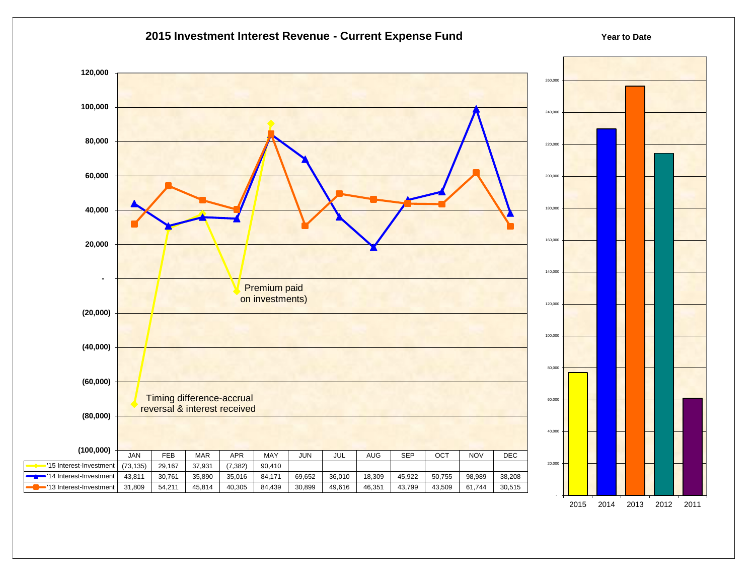

2015 2014 2013 2012 2011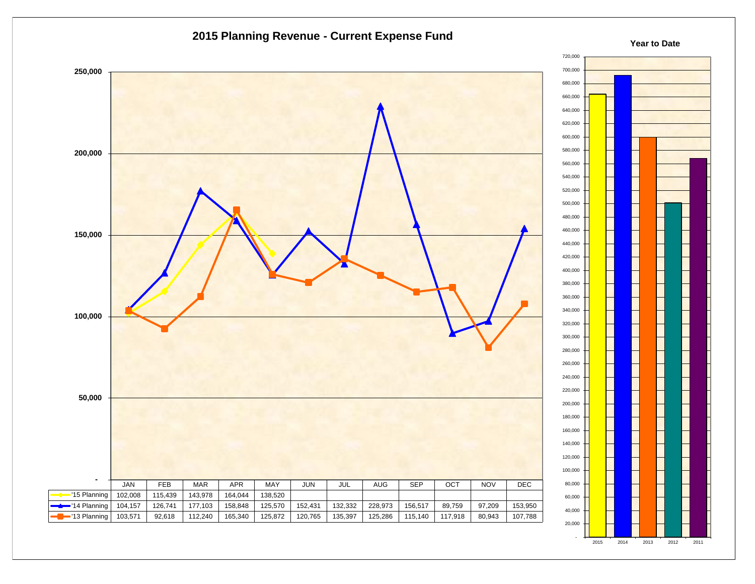



#### **Year to Date**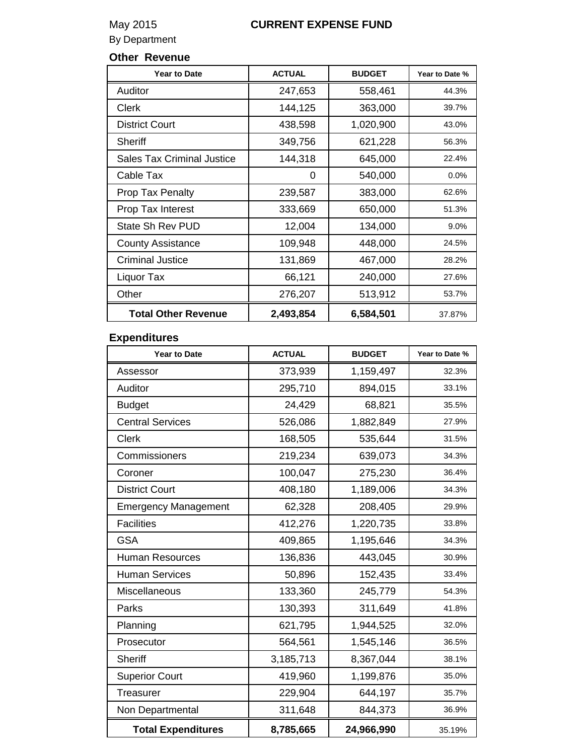## May 2015 **CURRENT EXPENSE FUND**

By Department

### **Other Revenue**

| <b>Year to Date</b>               | <b>ACTUAL</b> | <b>BUDGET</b> | Year to Date % |
|-----------------------------------|---------------|---------------|----------------|
| Auditor                           | 247,653       | 558,461       | 44.3%          |
| Clerk                             | 144,125       | 363,000       | 39.7%          |
| <b>District Court</b>             | 438,598       | 1,020,900     | 43.0%          |
| <b>Sheriff</b>                    | 349,756       | 621,228       | 56.3%          |
| <b>Sales Tax Criminal Justice</b> | 144,318       | 645,000       | 22.4%          |
| Cable Tax                         | 0             | 540,000       | 0.0%           |
| <b>Prop Tax Penalty</b>           | 239,587       | 383,000       | 62.6%          |
| Prop Tax Interest                 | 333,669       | 650,000       | 51.3%          |
| State Sh Rev PUD                  | 12,004        | 134,000       | 9.0%           |
| <b>County Assistance</b>          | 109,948       | 448,000       | 24.5%          |
| <b>Criminal Justice</b>           | 131,869       | 467,000       | 28.2%          |
| Liquor Tax                        | 66,121        | 240,000       | 27.6%          |
| Other                             | 276,207       | 513,912       | 53.7%          |
| <b>Total Other Revenue</b>        | 2,493,854     | 6,584,501     | 37.87%         |

### **Expenditures**

| <b>Year to Date</b>         | <b>ACTUAL</b> | <b>BUDGET</b> | Year to Date % |
|-----------------------------|---------------|---------------|----------------|
| Assessor                    | 373,939       | 1,159,497     | 32.3%          |
| Auditor                     | 295,710       | 894,015       | 33.1%          |
| <b>Budget</b>               | 24,429        | 68,821        | 35.5%          |
| <b>Central Services</b>     | 526,086       | 1,882,849     | 27.9%          |
| <b>Clerk</b>                | 168,505       | 535,644       | 31.5%          |
| Commissioners               | 219,234       | 639,073       | 34.3%          |
| Coroner                     | 100,047       | 275,230       | 36.4%          |
| <b>District Court</b>       | 408,180       | 1,189,006     | 34.3%          |
| <b>Emergency Management</b> | 62,328        | 208,405       | 29.9%          |
| <b>Facilities</b>           | 412,276       | 1,220,735     | 33.8%          |
| <b>GSA</b>                  | 409,865       | 1,195,646     | 34.3%          |
| <b>Human Resources</b>      | 136,836       | 443,045       | 30.9%          |
| <b>Human Services</b>       | 50,896        | 152,435       | 33.4%          |
| Miscellaneous               | 133,360       | 245,779       | 54.3%          |
| Parks                       | 130,393       | 311,649       | 41.8%          |
| Planning                    | 621,795       | 1,944,525     | 32.0%          |
| Prosecutor                  | 564,561       | 1,545,146     | 36.5%          |
| <b>Sheriff</b>              | 3,185,713     | 8,367,044     | 38.1%          |
| <b>Superior Court</b>       | 419,960       | 1,199,876     | 35.0%          |
| Treasurer                   | 229,904       | 644,197       | 35.7%          |
| Non Departmental            | 311,648       | 844,373       | 36.9%          |
| <b>Total Expenditures</b>   | 8,785,665     | 24,966,990    | 35.19%         |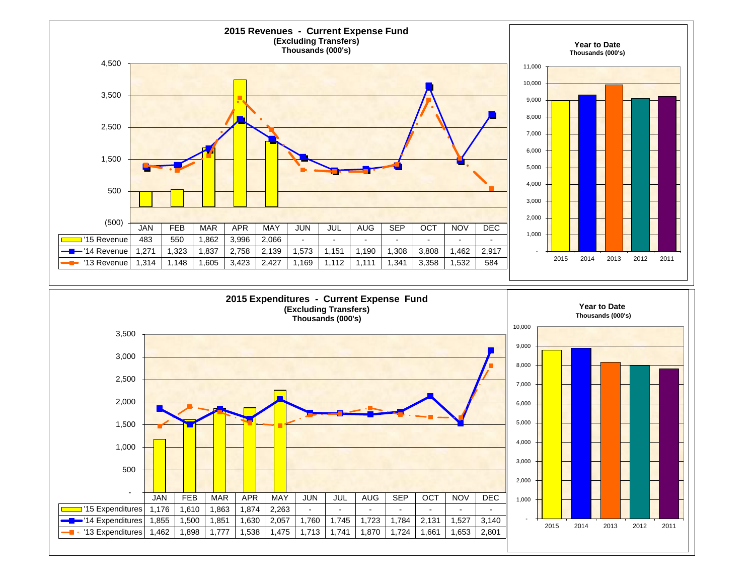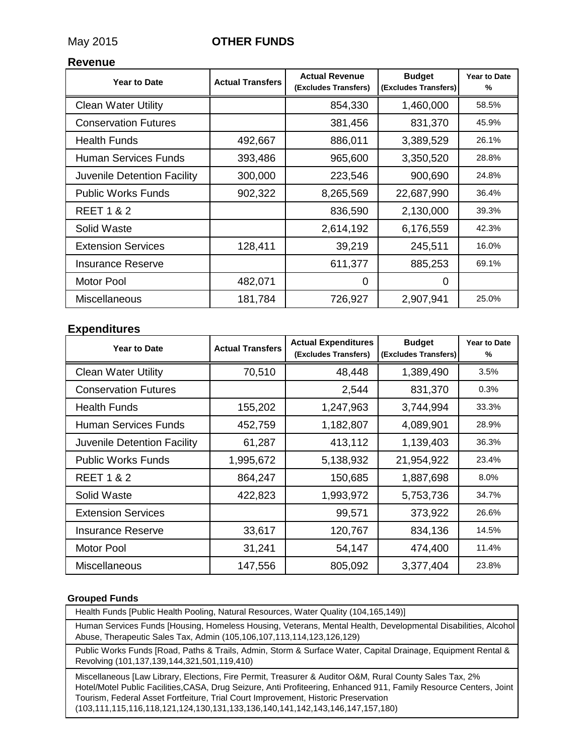### May 2015 **OTHER FUNDS**

#### **Revenue**

| <b>Year to Date</b>         | <b>Actual Transfers</b> | <b>Actual Revenue</b><br>(Excludes Transfers) | <b>Budget</b><br>(Excludes Transfers) | <b>Year to Date</b><br>% |
|-----------------------------|-------------------------|-----------------------------------------------|---------------------------------------|--------------------------|
| <b>Clean Water Utility</b>  |                         | 854,330                                       | 1,460,000                             | 58.5%                    |
| <b>Conservation Futures</b> |                         | 381,456                                       | 831,370                               | 45.9%                    |
| <b>Health Funds</b>         | 492,667                 | 886,011                                       | 3,389,529                             | 26.1%                    |
| Human Services Funds        | 393,486                 | 965,600                                       | 3,350,520                             | 28.8%                    |
| Juvenile Detention Facility | 300,000                 | 223,546                                       | 900,690                               | 24.8%                    |
| <b>Public Works Funds</b>   | 902,322                 | 8,265,569                                     | 22,687,990                            | 36.4%                    |
| <b>REET 1 &amp; 2</b>       |                         | 836,590                                       | 2,130,000                             | 39.3%                    |
| Solid Waste                 |                         | 2,614,192                                     | 6,176,559                             | 42.3%                    |
| <b>Extension Services</b>   | 128,411                 | 39,219                                        | 245,511                               | 16.0%                    |
| <b>Insurance Reserve</b>    |                         | 611,377                                       | 885,253                               | 69.1%                    |
| <b>Motor Pool</b>           | 482,071                 | 0                                             | $\Omega$                              |                          |
| <b>Miscellaneous</b>        | 181,784                 | 726,927                                       | 2,907,941                             | 25.0%                    |

### **Expenditures**

| <b>Year to Date</b>         | <b>Actual Transfers</b> | <b>Actual Expenditures</b><br>(Excludes Transfers) | <b>Budget</b><br>(Excludes Transfers) | <b>Year to Date</b><br>% |
|-----------------------------|-------------------------|----------------------------------------------------|---------------------------------------|--------------------------|
| <b>Clean Water Utility</b>  | 70,510                  | 48,448                                             | 1,389,490                             | 3.5%                     |
| <b>Conservation Futures</b> |                         | 2,544                                              | 831,370                               | 0.3%                     |
| <b>Health Funds</b>         | 155,202                 | 1,247,963                                          | 3,744,994                             | 33.3%                    |
| Human Services Funds        | 452,759                 | 1,182,807                                          | 4,089,901                             | 28.9%                    |
| Juvenile Detention Facility | 61,287                  | 413,112                                            | 1,139,403                             | 36.3%                    |
| <b>Public Works Funds</b>   | 1,995,672               | 5,138,932                                          | 21,954,922                            | 23.4%                    |
| <b>REET 1 &amp; 2</b>       | 864,247                 | 150,685                                            | 1,887,698                             | 8.0%                     |
| Solid Waste                 | 422,823                 | 1,993,972                                          | 5,753,736                             | 34.7%                    |
| <b>Extension Services</b>   |                         | 99,571                                             | 373,922                               | 26.6%                    |
| <b>Insurance Reserve</b>    | 33,617                  | 120,767                                            | 834,136                               | 14.5%                    |
| Motor Pool                  | 31,241                  | 54,147                                             | 474,400                               | 11.4%                    |
| <b>Miscellaneous</b>        | 147,556                 | 805,092                                            | 3,377,404                             | 23.8%                    |

#### **Grouped Funds**

Health Funds [Public Health Pooling, Natural Resources, Water Quality (104,165,149)]

Human Services Funds [Housing, Homeless Housing, Veterans, Mental Health, Developmental Disabilities, Alcohol Abuse, Therapeutic Sales Tax, Admin (105,106,107,113,114,123,126,129)

Public Works Funds [Road, Paths & Trails, Admin, Storm & Surface Water, Capital Drainage, Equipment Rental & Revolving (101,137,139,144,321,501,119,410)

Miscellaneous [Law Library, Elections, Fire Permit, Treasurer & Auditor O&M, Rural County Sales Tax, 2% Hotel/Motel Public Facilities,CASA, Drug Seizure, Anti Profiteering, Enhanced 911, Family Resource Centers, Joint Tourism, Federal Asset Fortfeiture, Trial Court Improvement, Historic Preservation (103,111,115,116,118,121,124,130,131,133,136,140,141,142,143,146,147,157,180)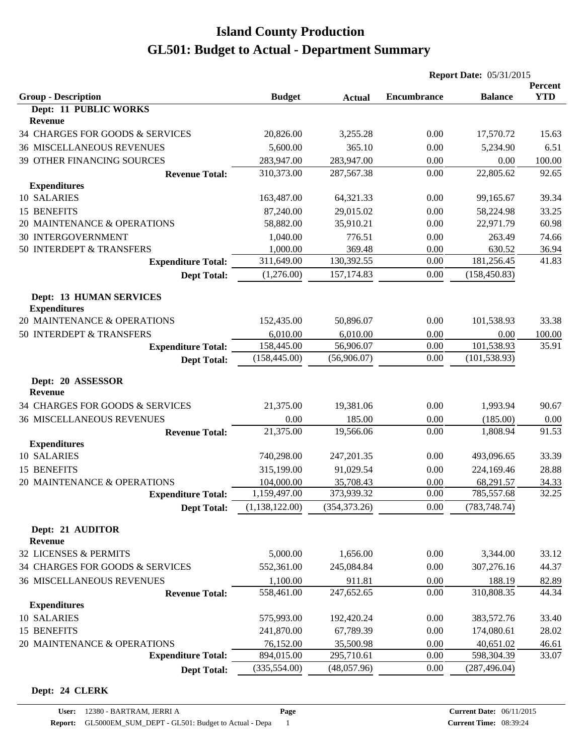|                                                       |                |               | <b>Report Date: 05/31/2015</b> |                |                       |
|-------------------------------------------------------|----------------|---------------|--------------------------------|----------------|-----------------------|
| <b>Group - Description</b>                            | <b>Budget</b>  | <b>Actual</b> | <b>Encumbrance</b>             | <b>Balance</b> | Percent<br><b>YTD</b> |
| Dept: 11 PUBLIC WORKS                                 |                |               |                                |                |                       |
| Revenue                                               |                |               |                                |                |                       |
| 34 CHARGES FOR GOODS & SERVICES                       | 20,826.00      | 3,255.28      | 0.00                           | 17,570.72      | 15.63                 |
| <b>36 MISCELLANEOUS REVENUES</b>                      | 5,600.00       | 365.10        | 0.00                           | 5,234.90       | 6.51                  |
| 39 OTHER FINANCING SOURCES                            | 283,947.00     | 283,947.00    | 0.00                           | 0.00           | 100.00                |
| <b>Revenue Total:</b>                                 | 310,373.00     | 287,567.38    | 0.00                           | 22,805.62      | 92.65                 |
| <b>Expenditures</b>                                   |                |               |                                |                |                       |
| 10 SALARIES                                           | 163,487.00     | 64,321.33     | 0.00                           | 99,165.67      | 39.34                 |
| 15 BENEFITS                                           | 87,240.00      | 29,015.02     | 0.00                           | 58,224.98      | 33.25                 |
| 20 MAINTENANCE & OPERATIONS                           | 58,882.00      | 35,910.21     | 0.00                           | 22,971.79      | 60.98                 |
| <b>30 INTERGOVERNMENT</b>                             | 1,040.00       | 776.51        | 0.00                           | 263.49         | 74.66                 |
| 50 INTERDEPT & TRANSFERS                              | 1,000.00       | 369.48        | 0.00                           | 630.52         | 36.94                 |
| <b>Expenditure Total:</b>                             | 311,649.00     | 130,392.55    | 0.00                           | 181,256.45     | 41.83                 |
| <b>Dept Total:</b>                                    | (1,276.00)     | 157, 174.83   | 0.00                           | (158, 450.83)  |                       |
| <b>Dept: 13 HUMAN SERVICES</b><br><b>Expenditures</b> |                |               |                                |                |                       |
| 20 MAINTENANCE & OPERATIONS                           | 152,435.00     | 50,896.07     | 0.00                           | 101,538.93     | 33.38                 |
| 50 INTERDEPT & TRANSFERS                              | 6,010.00       | 6,010.00      | 0.00                           | 0.00           | 100.00                |
| <b>Expenditure Total:</b>                             | 158,445.00     | 56,906.07     | 0.00                           | 101,538.93     | 35.91                 |
| <b>Dept Total:</b>                                    | (158, 445.00)  | (56,906.07)   | 0.00                           | (101, 538.93)  |                       |
| Dept: 20 ASSESSOR<br><b>Revenue</b>                   |                |               |                                |                |                       |
| 34 CHARGES FOR GOODS & SERVICES                       | 21,375.00      | 19,381.06     | 0.00                           | 1,993.94       | 90.67                 |
| <b>36 MISCELLANEOUS REVENUES</b>                      | 0.00           | 185.00        | 0.00                           | (185.00)       | 0.00                  |
| <b>Revenue Total:</b>                                 | 21,375.00      | 19,566.06     | 0.00                           | 1,808.94       | 91.53                 |
| <b>Expenditures</b>                                   |                |               |                                |                |                       |
| 10 SALARIES                                           | 740,298.00     | 247,201.35    | 0.00                           | 493,096.65     | 33.39                 |
| 15 BENEFITS                                           | 315,199.00     | 91,029.54     | 0.00                           | 224,169.46     | 28.88                 |
| 20 MAINTENANCE & OPERATIONS                           | 104,000.00     | 35,708.43     | 0.00                           | 68,291.57      | 34.33                 |
| <b>Expenditure Total:</b>                             | 1,159,497.00   | 373,939.32    | 0.00                           | 785,557.68     | 32.25                 |
| <b>Dept Total:</b>                                    | (1,138,122.00) | (354, 373.26) | 0.00                           | (783, 748.74)  |                       |
| Dept: 21 AUDITOR<br>Revenue                           |                |               |                                |                |                       |
| 32 LICENSES & PERMITS                                 | 5,000.00       | 1,656.00      | 0.00                           | 3,344.00       | 33.12                 |
| 34 CHARGES FOR GOODS & SERVICES                       | 552,361.00     | 245,084.84    | 0.00                           | 307,276.16     | 44.37                 |
| <b>36 MISCELLANEOUS REVENUES</b>                      | 1,100.00       | 911.81        | 0.00                           | 188.19         | 82.89                 |
| <b>Revenue Total:</b>                                 | 558,461.00     | 247,652.65    | 0.00                           | 310,808.35     | 44.34                 |
| <b>Expenditures</b>                                   |                |               |                                |                |                       |
| 10 SALARIES                                           | 575,993.00     | 192,420.24    | 0.00                           | 383,572.76     | 33.40                 |
| 15 BENEFITS                                           | 241,870.00     | 67,789.39     | 0.00                           | 174,080.61     | 28.02                 |
| 20 MAINTENANCE & OPERATIONS                           | 76,152.00      | 35,500.98     | 0.00                           | 40,651.02      | 46.61                 |
| <b>Expenditure Total:</b>                             | 894,015.00     | 295,710.61    | 0.00                           | 598,304.39     | 33.07                 |
| <b>Dept Total:</b>                                    | (335, 554.00)  | (48,057.96)   | 0.00                           | (287, 496.04)  |                       |

#### **Dept: 24 CLERK**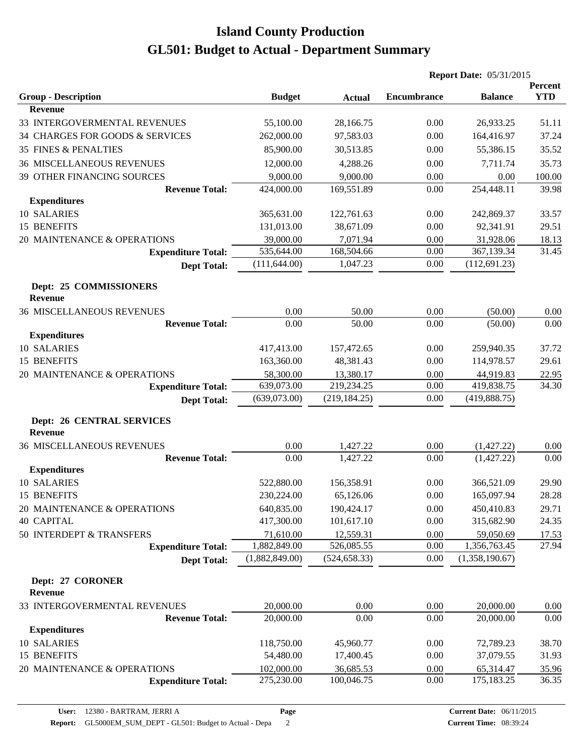|                                                    |                |               | <b>Report Date: 05/31/2015</b> |                |                       |
|----------------------------------------------------|----------------|---------------|--------------------------------|----------------|-----------------------|
| <b>Group - Description</b>                         | <b>Budget</b>  | <b>Actual</b> | <b>Encumbrance</b>             | <b>Balance</b> | Percent<br><b>YTD</b> |
| <b>Revenue</b>                                     |                |               |                                |                |                       |
| 33 INTERGOVERMENTAL REVENUES                       | 55,100.00      | 28,166.75     | 0.00                           | 26,933.25      | 51.11                 |
| 34 CHARGES FOR GOODS & SERVICES                    | 262,000.00     | 97,583.03     | 0.00                           | 164,416.97     | 37.24                 |
| <b>35 FINES &amp; PENALTIES</b>                    | 85,900.00      | 30,513.85     | 0.00                           | 55,386.15      | 35.52                 |
| <b>36 MISCELLANEOUS REVENUES</b>                   | 12,000.00      | 4,288.26      | 0.00                           | 7,711.74       | 35.73                 |
| 39 OTHER FINANCING SOURCES                         | 9,000.00       | 9,000.00      | 0.00                           | 0.00           | 100.00                |
| <b>Revenue Total:</b>                              | 424,000.00     | 169,551.89    | 0.00                           | 254,448.11     | 39.98                 |
| <b>Expenditures</b>                                |                |               |                                |                |                       |
| 10 SALARIES                                        | 365,631.00     | 122,761.63    | 0.00                           | 242,869.37     | 33.57                 |
| 15 BENEFITS                                        | 131,013.00     | 38,671.09     | 0.00                           | 92,341.91      | 29.51                 |
| 20 MAINTENANCE & OPERATIONS                        | 39,000.00      | 7,071.94      | 0.00                           | 31,928.06      | 18.13                 |
| <b>Expenditure Total:</b>                          | 535,644.00     | 168,504.66    | 0.00                           | 367,139.34     | 31.45                 |
| <b>Dept Total:</b>                                 | (111, 644.00)  | 1,047.23      | 0.00                           | (112, 691.23)  |                       |
| Dept: 25 COMMISSIONERS<br><b>Revenue</b>           |                |               |                                |                |                       |
| <b>36 MISCELLANEOUS REVENUES</b>                   | 0.00           | 50.00         | 0.00                           | (50.00)        | 0.00                  |
| <b>Revenue Total:</b>                              | 0.00           | 50.00         | 0.00                           | (50.00)        | 0.00                  |
| <b>Expenditures</b>                                |                |               |                                |                |                       |
| 10 SALARIES                                        | 417,413.00     | 157,472.65    | 0.00                           | 259,940.35     | 37.72                 |
| 15 BENEFITS                                        | 163,360.00     | 48,381.43     | 0.00                           | 114,978.57     | 29.61                 |
| 20 MAINTENANCE & OPERATIONS                        | 58,300.00      | 13,380.17     | 0.00                           | 44,919.83      | 22.95                 |
| <b>Expenditure Total:</b>                          | 639,073.00     | 219,234.25    | 0.00                           | 419,838.75     | 34.30                 |
| <b>Dept Total:</b>                                 | (639,073.00)   | (219, 184.25) | 0.00                           | (419, 888.75)  |                       |
| <b>Dept: 26 CENTRAL SERVICES</b><br><b>Revenue</b> |                |               |                                |                |                       |
| <b>36 MISCELLANEOUS REVENUES</b>                   | 0.00           | 1,427.22      | 0.00                           | (1,427.22)     | 0.00                  |
| <b>Revenue Total:</b>                              | 0.00           | 1,427.22      | 0.00                           | (1,427.22)     | 0.00                  |
| <b>Expenditures</b>                                |                |               |                                |                |                       |
| 10 SALARIES                                        | 522,880.00     | 156,358.91    | 0.00                           | 366,521.09     | 29.90                 |
| 15 BENEFITS                                        | 230,224.00     | 65,126.06     | $0.00\,$                       | 165,097.94     | 28.28                 |
| 20 MAINTENANCE & OPERATIONS                        | 640,835.00     | 190,424.17    | 0.00                           | 450,410.83     | 29.71                 |
| <b>40 CAPITAL</b>                                  | 417,300.00     | 101,617.10    | 0.00                           | 315,682.90     | 24.35                 |
| 50 INTERDEPT & TRANSFERS                           | 71,610.00      | 12,559.31     | 0.00                           | 59,050.69      | 17.53                 |
| <b>Expenditure Total:</b>                          | 1,882,849.00   | 526,085.55    | 0.00                           | 1,356,763.45   | 27.94                 |
| <b>Dept Total:</b>                                 | (1,882,849.00) | (524, 658.33) | 0.00                           | (1,358,190.67) |                       |
| Dept: 27 CORONER<br><b>Revenue</b>                 |                |               |                                |                |                       |
| 33 INTERGOVERMENTAL REVENUES                       | 20,000.00      | 0.00          | 0.00                           | 20,000.00      | 0.00                  |
| <b>Revenue Total:</b>                              | 20,000.00      | 0.00          | 0.00                           | 20,000.00      | 0.00                  |
| <b>Expenditures</b>                                |                |               |                                |                |                       |
| 10 SALARIES                                        | 118,750.00     | 45,960.77     | 0.00                           | 72,789.23      | 38.70                 |
| 15 BENEFITS                                        | 54,480.00      | 17,400.45     | 0.00                           | 37,079.55      | 31.93                 |
| 20 MAINTENANCE & OPERATIONS                        | 102,000.00     | 36,685.53     | 0.00                           | 65,314.47      | 35.96                 |
| <b>Expenditure Total:</b>                          | 275,230.00     | 100,046.75    | 0.00                           | 175,183.25     | 36.35                 |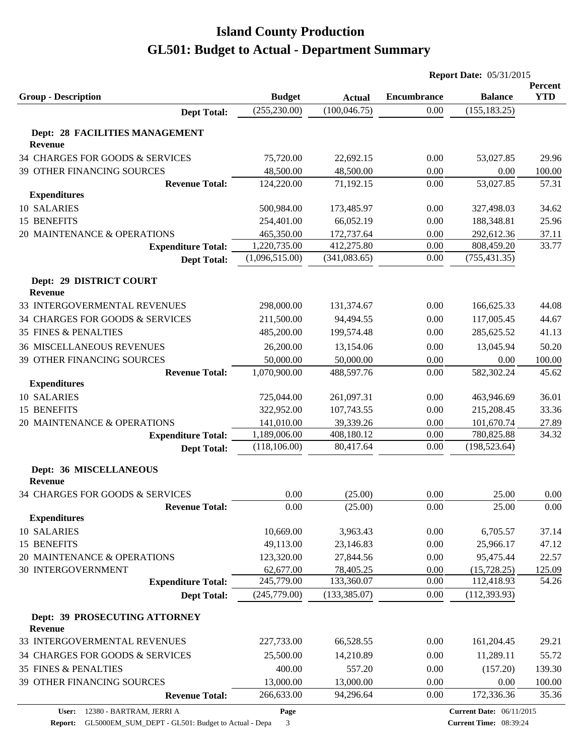|                                           |                |                                | <b>Report Date: 05/31/2015</b> |                |                       |
|-------------------------------------------|----------------|--------------------------------|--------------------------------|----------------|-----------------------|
| <b>Group - Description</b>                | <b>Budget</b>  |                                | <b>Encumbrance</b>             | <b>Balance</b> | Percent<br><b>YTD</b> |
|                                           | (255, 230.00)  | <b>Actual</b><br>(100, 046.75) | 0.00                           | (155, 183.25)  |                       |
| <b>Dept Total:</b>                        |                |                                |                                |                |                       |
| Dept: 28 FACILITIES MANAGEMENT<br>Revenue |                |                                |                                |                |                       |
| 34 CHARGES FOR GOODS & SERVICES           | 75,720.00      | 22,692.15                      | 0.00                           | 53,027.85      | 29.96                 |
| 39 OTHER FINANCING SOURCES                | 48,500.00      | 48,500.00                      | 0.00                           | 0.00           | 100.00                |
| <b>Revenue Total:</b>                     | 124,220.00     | 71,192.15                      | 0.00                           | 53,027.85      | 57.31                 |
| <b>Expenditures</b>                       |                |                                |                                |                |                       |
| 10 SALARIES                               | 500,984.00     | 173,485.97                     | 0.00                           | 327,498.03     | 34.62                 |
| 15 BENEFITS                               | 254,401.00     | 66,052.19                      | 0.00                           | 188,348.81     | 25.96                 |
| 20 MAINTENANCE & OPERATIONS               | 465,350.00     | 172,737.64                     | 0.00                           | 292,612.36     | 37.11                 |
| <b>Expenditure Total:</b>                 | 1,220,735.00   | 412,275.80                     | 0.00                           | 808,459.20     | 33.77                 |
| <b>Dept Total:</b>                        | (1,096,515.00) | (341, 083.65)                  | 0.00                           | (755, 431.35)  |                       |
| Dept: 29 DISTRICT COURT                   |                |                                |                                |                |                       |
| Revenue                                   |                |                                |                                |                |                       |
| 33 INTERGOVERMENTAL REVENUES              | 298,000.00     | 131,374.67                     | 0.00                           | 166,625.33     | 44.08                 |
| 34 CHARGES FOR GOODS & SERVICES           | 211,500.00     | 94,494.55                      | 0.00                           | 117,005.45     | 44.67                 |
| <b>35 FINES &amp; PENALTIES</b>           | 485,200.00     | 199,574.48                     | 0.00                           | 285,625.52     | 41.13                 |
| <b>36 MISCELLANEOUS REVENUES</b>          | 26,200.00      | 13,154.06                      | 0.00                           | 13,045.94      | 50.20                 |
| 39 OTHER FINANCING SOURCES                | 50,000.00      | 50,000.00                      | 0.00                           | 0.00           | 100.00                |
| <b>Revenue Total:</b>                     | 1,070,900.00   | 488,597.76                     | 0.00                           | 582,302.24     | 45.62                 |
| <b>Expenditures</b>                       |                |                                |                                |                |                       |
| 10 SALARIES                               | 725,044.00     | 261,097.31                     | 0.00                           | 463,946.69     | 36.01                 |
| 15 BENEFITS                               | 322,952.00     | 107,743.55                     | 0.00                           | 215,208.45     | 33.36                 |
| 20 MAINTENANCE & OPERATIONS               | 141,010.00     | 39,339.26                      | 0.00                           | 101,670.74     | 27.89                 |
| <b>Expenditure Total:</b>                 | 1,189,006.00   | 408,180.12                     | 0.00                           | 780,825.88     | 34.32                 |
| <b>Dept Total:</b>                        | (118, 106.00)  | 80,417.64                      | 0.00                           | (198, 523.64)  |                       |
| Dept: 36 MISCELLANEOUS<br>Revenue         |                |                                |                                |                |                       |
| 34 CHARGES FOR GOODS & SERVICES           | 0.00           | (25.00)                        | 0.00                           | 25.00          | 0.00                  |
| <b>Revenue Total:</b>                     | 0.00           | (25.00)                        | 0.00                           | 25.00          | 0.00                  |
| <b>Expenditures</b>                       |                |                                |                                |                |                       |
| 10 SALARIES                               | 10,669.00      | 3,963.43                       | 0.00                           | 6,705.57       | 37.14                 |
| <b>15 BENEFITS</b>                        | 49,113.00      | 23,146.83                      | 0.00                           | 25,966.17      | 47.12                 |
| 20 MAINTENANCE & OPERATIONS               | 123,320.00     | 27,844.56                      | 0.00                           | 95,475.44      | 22.57                 |
| <b>30 INTERGOVERNMENT</b>                 | 62,677.00      | 78,405.25                      | 0.00                           | (15,728.25)    | 125.09                |
| <b>Expenditure Total:</b>                 | 245,779.00     | 133,360.07                     | 0.00                           | 112,418.93     | 54.26                 |
| <b>Dept Total:</b>                        | (245,779.00)   | (133, 385.07)                  | 0.00                           | (112, 393.93)  |                       |
| Dept: 39 PROSECUTING ATTORNEY<br>Revenue  |                |                                |                                |                |                       |
| 33 INTERGOVERMENTAL REVENUES              | 227,733.00     | 66,528.55                      | 0.00                           | 161,204.45     | 29.21                 |
| 34 CHARGES FOR GOODS & SERVICES           | 25,500.00      | 14,210.89                      | 0.00                           | 11,289.11      | 55.72                 |
| 35 FINES & PENALTIES                      | 400.00         | 557.20                         | 0.00                           | (157.20)       | 139.30                |
| 39 OTHER FINANCING SOURCES                | 13,000.00      | 13,000.00                      | 0.00                           | 0.00           | 100.00                |
| <b>Revenue Total:</b>                     | 266,633.00     | 94,296.64                      | 0.00                           | 172,336.36     | 35.36                 |
|                                           |                |                                |                                |                |                       |

**Page**

**Report:** GL5000EM\_SUM\_DEPT - GL501: Budget to Actual - Depa 3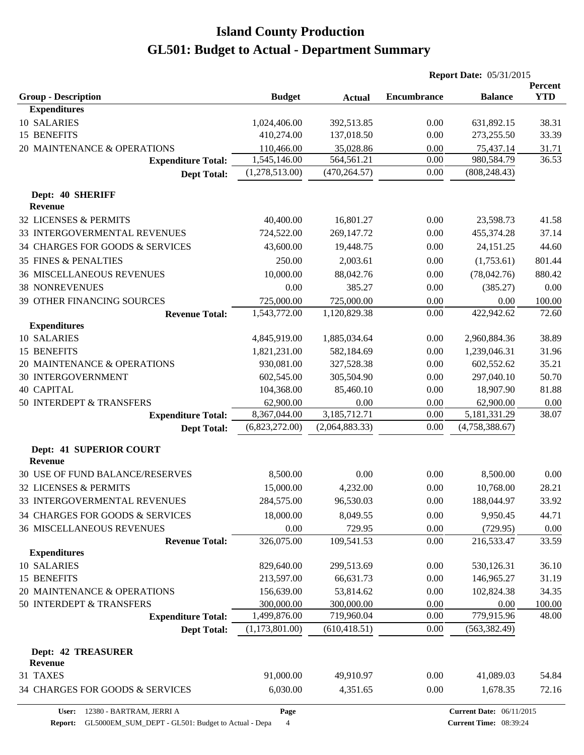|                                             |                |                | <b>Report Date: 05/31/2015</b> |                         |                       |
|---------------------------------------------|----------------|----------------|--------------------------------|-------------------------|-----------------------|
| <b>Group - Description</b>                  | <b>Budget</b>  | <b>Actual</b>  | <b>Encumbrance</b>             | <b>Balance</b>          | Percent<br><b>YTD</b> |
| <b>Expenditures</b>                         |                |                |                                |                         |                       |
| 10 SALARIES                                 | 1,024,406.00   | 392,513.85     | 0.00                           | 631,892.15              | 38.31                 |
| 15 BENEFITS                                 | 410,274.00     | 137,018.50     | 0.00                           | 273,255.50              | 33.39                 |
| 20 MAINTENANCE & OPERATIONS                 | 110,466.00     | 35,028.86      | 0.00                           | 75,437.14               | 31.71                 |
| <b>Expenditure Total:</b>                   | 1,545,146.00   | 564,561.21     | 0.00                           | 980,584.79              | 36.53                 |
| <b>Dept Total:</b>                          | (1,278,513.00) | (470, 264.57)  | 0.00                           | (808, 248.43)           |                       |
| Dept: 40 SHERIFF                            |                |                |                                |                         |                       |
| <b>Revenue</b><br>32 LICENSES & PERMITS     |                | 16,801.27      | 0.00                           |                         | 41.58                 |
| 33 INTERGOVERMENTAL REVENUES                | 40,400.00      | 269,147.72     |                                | 23,598.73<br>455,374.28 | 37.14                 |
|                                             | 724,522.00     |                | 0.00                           |                         |                       |
| 34 CHARGES FOR GOODS & SERVICES             | 43,600.00      | 19,448.75      | 0.00                           | 24,151.25               | 44.60                 |
| <b>35 FINES &amp; PENALTIES</b>             | 250.00         | 2,003.61       | 0.00                           | (1,753.61)              | 801.44                |
| <b>36 MISCELLANEOUS REVENUES</b>            | 10,000.00      | 88,042.76      | 0.00                           | (78,042.76)             | 880.42                |
| <b>38 NONREVENUES</b>                       | 0.00           | 385.27         | 0.00                           | (385.27)                | 0.00                  |
| 39 OTHER FINANCING SOURCES                  | 725,000.00     | 725,000.00     | 0.00                           | 0.00                    | 100.00                |
| <b>Revenue Total:</b>                       | 1,543,772.00   | 1,120,829.38   | 0.00                           | 422,942.62              | 72.60                 |
| <b>Expenditures</b><br>10 SALARIES          | 4,845,919.00   | 1,885,034.64   | 0.00                           | 2,960,884.36            | 38.89                 |
| <b>15 BENEFITS</b>                          | 1,821,231.00   | 582,184.69     | 0.00                           | 1,239,046.31            | 31.96                 |
| 20 MAINTENANCE & OPERATIONS                 | 930,081.00     | 327,528.38     | 0.00                           | 602,552.62              | 35.21                 |
| <b>30 INTERGOVERNMENT</b>                   | 602,545.00     | 305,504.90     | 0.00                           | 297,040.10              | 50.70                 |
| <b>40 CAPITAL</b>                           | 104,368.00     | 85,460.10      | 0.00                           | 18,907.90               | 81.88                 |
| 50 INTERDEPT & TRANSFERS                    | 62,900.00      | 0.00           | $0.00\,$                       | 62,900.00               | 0.00                  |
| <b>Expenditure Total:</b>                   | 8,367,044.00   | 3,185,712.71   | 0.00                           | 5,181,331.29            | 38.07                 |
| <b>Dept Total:</b>                          | (6,823,272.00) | (2,064,883.33) | 0.00                           | (4,758,388.67)          |                       |
|                                             |                |                |                                |                         |                       |
| Dept: 41 SUPERIOR COURT<br><b>Revenue</b>   |                |                |                                |                         |                       |
| 30 USE OF FUND BALANCE/RESERVES             | 8,500.00       | 0.00           | 0.00                           | 8,500.00                | 0.00                  |
| 32 LICENSES & PERMITS                       | 15,000.00      | 4,232.00       | 0.00                           | 10,768.00               | 28.21                 |
| 33 INTERGOVERMENTAL REVENUES                | 284,575.00     | 96,530.03      | 0.00                           | 188,044.97              | 33.92                 |
| 34 CHARGES FOR GOODS & SERVICES             | 18,000.00      | 8,049.55       | 0.00                           | 9,950.45                | 44.71                 |
| <b>36 MISCELLANEOUS REVENUES</b>            | 0.00           | 729.95         | 0.00                           | (729.95)                | 0.00                  |
| <b>Revenue Total:</b>                       | 326,075.00     | 109,541.53     | 0.00                           | 216,533.47              | 33.59                 |
| <b>Expenditures</b>                         |                |                |                                |                         |                       |
| 10 SALARIES                                 | 829,640.00     | 299,513.69     | 0.00                           | 530,126.31              | 36.10                 |
| 15 BENEFITS                                 | 213,597.00     | 66,631.73      | 0.00                           | 146,965.27              | 31.19                 |
| 20 MAINTENANCE & OPERATIONS                 | 156,639.00     | 53,814.62      | 0.00                           | 102,824.38              | 34.35                 |
| 50 INTERDEPT & TRANSFERS                    | 300,000.00     | 300,000.00     | 0.00                           | 0.00                    | 100.00                |
| <b>Expenditure Total:</b>                   | 1,499,876.00   | 719,960.04     | 0.00                           | 779,915.96              | 48.00                 |
| <b>Dept Total:</b>                          | (1,173,801.00) | (610, 418.51)  | 0.00                           | (563, 382.49)           |                       |
| <b>Dept: 42 TREASURER</b><br><b>Revenue</b> |                |                |                                |                         |                       |
| 31 TAXES                                    | 91,000.00      | 49,910.97      | 0.00                           | 41,089.03               | 54.84                 |
| 34 CHARGES FOR GOODS & SERVICES             | 6,030.00       | 4,351.65       | 0.00                           | 1,678.35                | 72.16                 |

**Report:** GL5000EM\_SUM\_DEPT - GL501: Budget to Actual - Depa 4

**Page**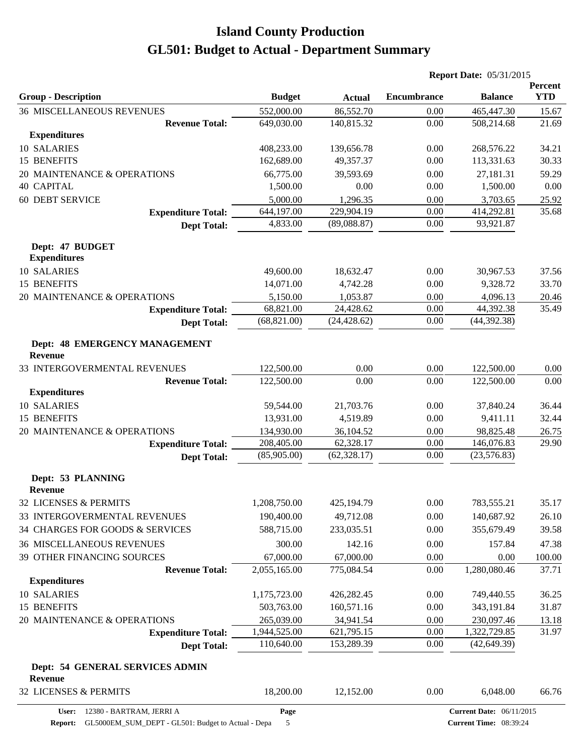|                                                 |                       |                       | <b>Report Date: 05/31/2015</b> |                                 |                       |
|-------------------------------------------------|-----------------------|-----------------------|--------------------------------|---------------------------------|-----------------------|
| <b>Group - Description</b>                      | <b>Budget</b>         | <b>Actual</b>         | <b>Encumbrance</b>             | <b>Balance</b>                  | Percent<br><b>YTD</b> |
| <b>36 MISCELLANEOUS REVENUES</b>                | 552,000.00            | 86,552.70             | 0.00                           | 465,447.30                      | 15.67                 |
| <b>Revenue Total:</b>                           | 649,030.00            | 140,815.32            | 0.00                           | 508,214.68                      | 21.69                 |
| <b>Expenditures</b>                             |                       |                       |                                |                                 |                       |
| 10 SALARIES                                     | 408,233.00            | 139,656.78            | 0.00                           | 268,576.22                      | 34.21                 |
| 15 BENEFITS                                     | 162,689.00            | 49,357.37             | 0.00                           | 113,331.63                      | 30.33                 |
| 20 MAINTENANCE & OPERATIONS                     | 66,775.00             | 39,593.69             | 0.00                           | 27,181.31                       | 59.29                 |
| <b>40 CAPITAL</b>                               | 1,500.00              | 0.00                  | 0.00                           | 1,500.00                        | 0.00                  |
| <b>60 DEBT SERVICE</b>                          | 5,000.00              | 1,296.35              | 0.00                           | 3,703.65                        | 25.92                 |
| <b>Expenditure Total:</b>                       | 644,197.00            | 229,904.19            | 0.00                           | 414,292.81                      | 35.68                 |
| <b>Dept Total:</b>                              | 4,833.00              | (89,088.87)           | 0.00                           | 93,921.87                       |                       |
| Dept: 47 BUDGET<br><b>Expenditures</b>          |                       |                       |                                |                                 |                       |
|                                                 |                       |                       |                                |                                 |                       |
| 10 SALARIES                                     | 49,600.00             | 18,632.47             | 0.00                           | 30,967.53                       | 37.56                 |
| 15 BENEFITS                                     | 14,071.00             | 4,742.28              | 0.00                           | 9,328.72                        | 33.70                 |
| 20 MAINTENANCE & OPERATIONS                     | 5,150.00<br>68,821.00 | 1,053.87<br>24,428.62 | 0.00<br>0.00                   | 4,096.13<br>44,392.38           | 20.46<br>35.49        |
| <b>Expenditure Total:</b>                       | (68, 821.00)          | (24, 428.62)          | 0.00                           | (44, 392.38)                    |                       |
| <b>Dept Total:</b>                              |                       |                       |                                |                                 |                       |
| Dept: 48 EMERGENCY MANAGEMENT<br><b>Revenue</b> |                       |                       |                                |                                 |                       |
| 33 INTERGOVERMENTAL REVENUES                    | 122,500.00            | 0.00                  | 0.00                           | 122,500.00                      | 0.00                  |
| <b>Revenue Total:</b>                           | 122,500.00            | 0.00                  | 0.00                           | 122,500.00                      | 0.00                  |
| <b>Expenditures</b>                             |                       |                       |                                |                                 |                       |
| 10 SALARIES                                     | 59,544.00             | 21,703.76             | 0.00                           | 37,840.24                       | 36.44                 |
| 15 BENEFITS                                     | 13,931.00             | 4,519.89              | 0.00                           | 9,411.11                        | 32.44                 |
| 20 MAINTENANCE & OPERATIONS                     | 134,930.00            | 36,104.52             | 0.00                           | 98,825.48                       | 26.75                 |
| <b>Expenditure Total:</b>                       | 208,405.00            | 62,328.17             | 0.00                           | 146,076.83                      | 29.90                 |
| <b>Dept Total:</b>                              | (85,905.00)           | (62, 328.17)          | 0.00                           | (23, 576.83)                    |                       |
| Dept: 53 PLANNING<br>Revenue                    |                       |                       |                                |                                 |                       |
| 32 LICENSES & PERMITS                           | 1,208,750.00          | 425,194.79            | 0.00                           | 783,555.21                      | 35.17                 |
| 33 INTERGOVERMENTAL REVENUES                    | 190,400.00            | 49,712.08             | 0.00                           | 140,687.92                      | 26.10                 |
| 34 CHARGES FOR GOODS & SERVICES                 | 588,715.00            | 233,035.51            | 0.00                           | 355,679.49                      | 39.58                 |
|                                                 |                       |                       |                                |                                 |                       |
| <b>36 MISCELLANEOUS REVENUES</b>                | 300.00                | 142.16                | 0.00                           | 157.84                          | 47.38                 |
| 39 OTHER FINANCING SOURCES                      | 67,000.00             | 67,000.00             | 0.00                           | 0.00                            | 100.00                |
| <b>Revenue Total:</b><br><b>Expenditures</b>    | 2,055,165.00          | 775,084.54            | 0.00                           | 1,280,080.46                    | 37.71                 |
| <b>10 SALARIES</b>                              | 1,175,723.00          | 426,282.45            | 0.00                           | 749,440.55                      | 36.25                 |
| 15 BENEFITS                                     | 503,763.00            | 160,571.16            | 0.00                           | 343,191.84                      | 31.87                 |
| 20 MAINTENANCE & OPERATIONS                     | 265,039.00            | 34,941.54             | 0.00                           | 230,097.46                      | 13.18                 |
| <b>Expenditure Total:</b>                       | 1,944,525.00          | 621,795.15            | 0.00                           | 1,322,729.85                    | 31.97                 |
| <b>Dept Total:</b>                              | 110,640.00            | 153,289.39            | 0.00                           | (42, 649.39)                    |                       |
| Dept: 54 GENERAL SERVICES ADMIN                 |                       |                       |                                |                                 |                       |
| Revenue                                         |                       |                       |                                |                                 |                       |
| 32 LICENSES & PERMITS                           | 18,200.00             | 12,152.00             | 0.00                           | 6,048.00                        | 66.76                 |
| 12380 - BARTRAM, JERRI A<br>User:               | Page                  |                       |                                | <b>Current Date: 06/11/2015</b> |                       |